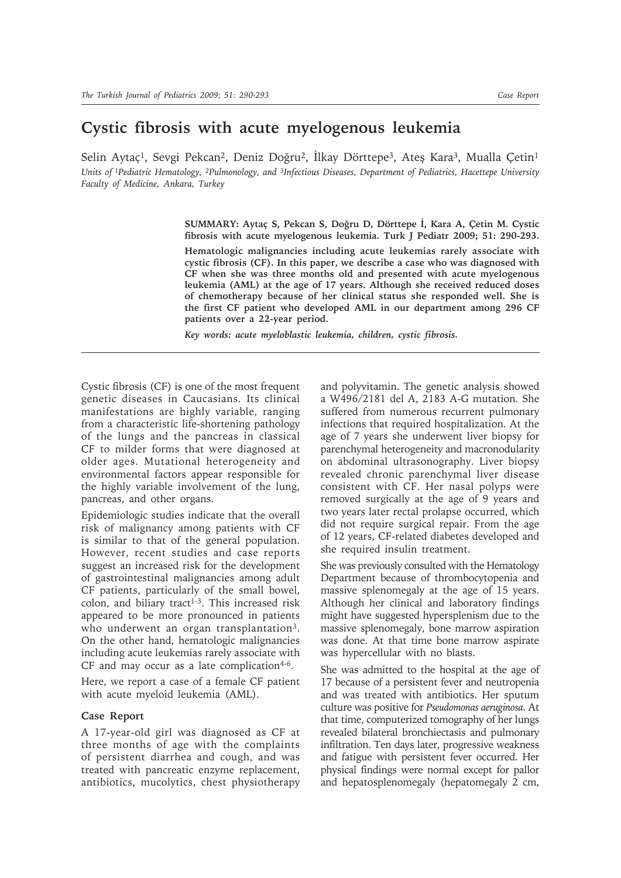## **Cystic fibrosis with acute myelogenous leukemia**

Selin Aytaç<sup>1</sup>, Sevgi Pekcan<sup>2</sup>, Deniz Doğru<sup>2</sup>, İlkay Dörttepe<sup>3</sup>, Ates Kara<sup>3</sup>, Mualla Çetin<sup>1</sup> *Units of 1Pediatric Hematology, 2Pulmonology, and 3Infectious Diseases, Department of Pediatrics, Hacettepe University Faculty of Medicine, Ankara, Turkey*

> **SUMMARY: Aytaç S, Pekcan S, Doğru D, Dörttepe İ, Kara A, Çetin M. Cystic fibrosis with acute myelogenous leukemia. Turk J Pediatr 2009; 51: 290-293.**

> **Hematologic malignancies including acute leukemias rarely associate with cystic fibrosis (CF). In this paper, we describe a case who was diagnosed with CF when she was three months old and presented with acute myelogenous leukemia (AML) at the age of 17 years. Although she received reduced doses of chemotherapy because of her clinical status she responded well. She is the first CF patient who developed AML in our department among 296 CF patients over a 22-year period.**

*Key words: acute myeloblastic leukemia, children, cystic fibrosis.*

Cystic fibrosis (CF) is one of the most frequent genetic diseases in Caucasians. Its clinical manifestations are highly variable, ranging from a characteristic life-shortening pathology of the lungs and the pancreas in classical CF to milder forms that were diagnosed at older ages. Mutational heterogeneity and environmental factors appear responsible for the highly variable involvement of the lung, pancreas, and other organs.

Epidemiologic studies indicate that the overall risk of malignancy among patients with CF is similar to that of the general population. However, recent studies and case reports suggest an increased risk for the development of gastrointestinal malignancies among adult CF patients, particularly of the small bowel, colon, and biliary tract<sup>1-3</sup>. This increased risk appeared to be more pronounced in patients who underwent an organ transplantation<sup>3</sup>. On the other hand, hematologic malignancies including acute leukemias rarely associate with CF and may occur as a late complication $4-6$ .

Here, we report a case of a female CF patient with acute myeloid leukemia (AML).

## **Case Report**

A 17-year-old girl was diagnosed as CF at three months of age with the complaints of persistent diarrhea and cough, and was treated with pancreatic enzyme replacement, antibiotics, mucolytics, chest physiotherapy and polyvitamin. The genetic analysis showed a W496/2181 del A, 2183 A-G mutation. She suffered from numerous recurrent pulmonary infections that required hospitalization. At the age of 7 years she underwent liver biopsy for parenchymal heterogeneity and macronodularity on abdominal ultrasonography. Liver biopsy revealed chronic parenchymal liver disease consistent with CF. Her nasal polyps were removed surgically at the age of 9 years and two years later rectal prolapse occurred, which did not require surgical repair. From the age of 12 years, CF-related diabetes developed and she required insulin treatment.

She was previously consulted with the Hematology Department because of thrombocytopenia and massive splenomegaly at the age of 15 years. Although her clinical and laboratory findings might have suggested hypersplenism due to the massive splenomegaly, bone marrow aspiration was done. At that time bone marrow aspirate was hypercellular with no blasts.

She was admitted to the hospital at the age of 17 because of a persistent fever and neutropenia and was treated with antibiotics. Her sputum culture was positive for *Pseudomonas aeruginosa*. At that time, computerized tomography of her lungs revealed bilateral bronchiectasis and pulmonary infiltration. Ten days later, progressive weakness and fatigue with persistent fever occurred. Her physical findings were normal except for pallor and hepatosplenomegaly (hepatomegaly 2 cm,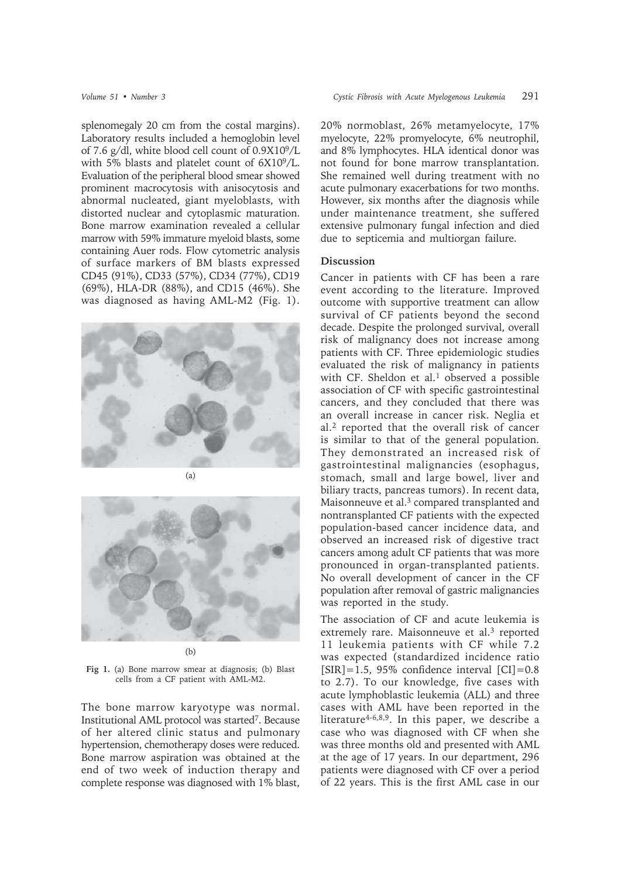splenomegaly 20 cm from the costal margins). Laboratory results included a hemoglobin level of 7.6 g/dl, white blood cell count of 0.9X109/L with 5% blasts and platelet count of 6X109/L. Evaluation of the peripheral blood smear showed prominent macrocytosis with anisocytosis and abnormal nucleated, giant myeloblasts, with distorted nuclear and cytoplasmic maturation. Bone marrow examination revealed a cellular marrow with 59% immature myeloid blasts, some containing Auer rods. Flow cytometric analysis of surface markers of BM blasts expressed CD45 (91%), CD33 (57%), CD34 (77%), CD19 (69%), HLA-DR (88%), and CD15 (46%). She was diagnosed as having AML-M2 (Fig. 1).





**Fig 1.** (a) Bone marrow smear at diagnosis; (b) Blast cells from a CF patient with AML-M2.

The bone marrow karyotype was normal. Institutional AML protocol was started7. Because of her altered clinic status and pulmonary hypertension, chemotherapy doses were reduced. Bone marrow aspiration was obtained at the end of two week of induction therapy and complete response was diagnosed with 1% blast,

20% normoblast, 26% metamyelocyte, 17% myelocyte, 22% promyelocyte, 6% neutrophil, and 8% lymphocytes. HLA identical donor was not found for bone marrow transplantation. She remained well during treatment with no acute pulmonary exacerbations for two months. However, six months after the diagnosis while under maintenance treatment, she suffered extensive pulmonary fungal infection and died due to septicemia and multiorgan failure.

## **Discussion**

Cancer in patients with CF has been a rare event according to the literature. Improved outcome with supportive treatment can allow survival of CF patients beyond the second decade. Despite the prolonged survival, overall risk of malignancy does not increase among patients with CF. Three epidemiologic studies evaluated the risk of malignancy in patients with CF. Sheldon et al.<sup>1</sup> observed a possible association of CF with specific gastrointestinal cancers, and they concluded that there was an overall increase in cancer risk. Neglia et al.2 reported that the overall risk of cancer is similar to that of the general population. They demonstrated an increased risk of gastrointestinal malignancies (esophagus, stomach, small and large bowel, liver and biliary tracts, pancreas tumors). In recent data, Maisonneuve et al.<sup>3</sup> compared transplanted and nontransplanted CF patients with the expected population-based cancer incidence data, and observed an increased risk of digestive tract cancers among adult CF patients that was more pronounced in organ-transplanted patients. No overall development of cancer in the CF population after removal of gastric malignancies was reported in the study.

The association of CF and acute leukemia is extremely rare. Maisonneuve et al.<sup>3</sup> reported 11 leukemia patients with CF while 7.2 was expected (standardized incidence ratio  $[SIR] = 1.5$ , 95% confidence interval  $[CI] = 0.8$ to 2.7). To our knowledge, five cases with acute lymphoblastic leukemia (ALL) and three cases with AML have been reported in the literature<sup>4-6,8,9</sup>. In this paper, we describe a case who was diagnosed with CF when she was three months old and presented with AML at the age of 17 years. In our department, 296 patients were diagnosed with CF over a period of 22 years. This is the first AML case in our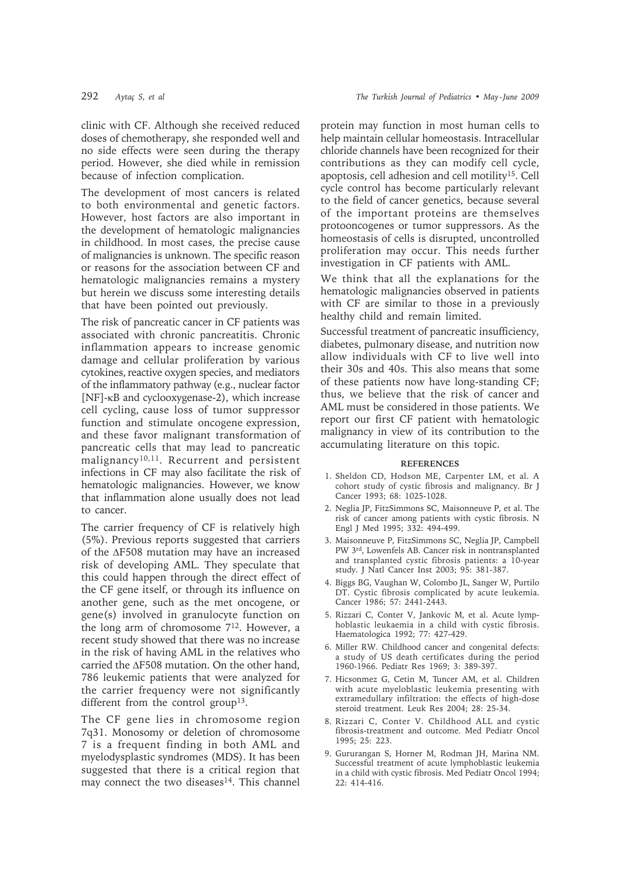clinic with CF. Although she received reduced doses of chemotherapy, she responded well and no side effects were seen during the therapy period. However, she died while in remission because of infection complication.

The development of most cancers is related to both environmental and genetic factors. However, host factors are also important in the development of hematologic malignancies in childhood. In most cases, the precise cause of malignancies is unknown. The specific reason or reasons for the association between CF and hematologic malignancies remains a mystery but herein we discuss some interesting details that have been pointed out previously.

The risk of pancreatic cancer in CF patients was associated with chronic pancreatitis. Chronic inflammation appears to increase genomic damage and cellular proliferation by various cytokines, reactive oxygen species, and mediators of the inflammatory pathway (e.g., nuclear factor [NF]-κB and cyclooxygenase-2), which increase cell cycling, cause loss of tumor suppressor function and stimulate oncogene expression, and these favor malignant transformation of pancreatic cells that may lead to pancreatic malignancy<sup>10,11</sup>. Recurrent and persistent infections in CF may also facilitate the risk of hematologic malignancies. However, we know that inflammation alone usually does not lead to cancer.

The carrier frequency of CF is relatively high (5%). Previous reports suggested that carriers of the ΔF508 mutation may have an increased risk of developing AML. They speculate that this could happen through the direct effect of the CF gene itself, or through its influence on another gene, such as the met oncogene, or gene(s) involved in granulocyte function on the long arm of chromosome 712. However, a recent study showed that there was no increase in the risk of having AML in the relatives who carried the ΔF508 mutation. On the other hand, 786 leukemic patients that were analyzed for the carrier frequency were not significantly different from the control group<sup>13</sup>.

The CF gene lies in chromosome region 7q31. Monosomy or deletion of chromosome 7 is a frequent finding in both AML and myelodysplastic syndromes (MDS). It has been suggested that there is a critical region that may connect the two diseases<sup>14</sup>. This channel

protein may function in most human cells to help maintain cellular homeostasis. Intracellular chloride channels have been recognized for their contributions as they can modify cell cycle, apoptosis, cell adhesion and cell motility15. Cell cycle control has become particularly relevant to the field of cancer genetics, because several of the important proteins are themselves protooncogenes or tumor suppressors. As the homeostasis of cells is disrupted, uncontrolled proliferation may occur. This needs further investigation in CF patients with AML.

We think that all the explanations for the hematologic malignancies observed in patients with CF are similar to those in a previously healthy child and remain limited.

Successful treatment of pancreatic insufficiency, diabetes, pulmonary disease, and nutrition now allow individuals with CF to live well into their 30s and 40s. This also means that some of these patients now have long-standing CF; thus, we believe that the risk of cancer and AML must be considered in those patients. We report our first CF patient with hematologic malignancy in view of its contribution to the accumulating literature on this topic.

## **REFERENCES**

- 1. Sheldon CD, Hodson ME, Carpenter LM, et al. A cohort study of cystic fibrosis and malignancy. Br J Cancer 1993; 68: 1025-1028.
- 2. Neglia JP, FitzSimmons SC, Maisonneuve P, et al. The risk of cancer among patients with cystic fibrosis. N Engl J Med 1995; 332: 494-499.
- 3. Maisonneuve P, FitzSimmons SC, Neglia JP, Campbell PW 3rd, Lowenfels AB. Cancer risk in nontransplanted and transplanted cystic fibrosis patients: a 10-year study. J Natl Cancer Inst 2003; 95: 381-387.
- 4. Biggs BG, Vaughan W, Colombo JL, Sanger W, Purtilo DT. Cystic fibrosis complicated by acute leukemia. Cancer 1986; 57: 2441-2443.
- 5. Rizzari C, Conter V, Jankovic M, et al. Acute lymphoblastic leukaemia in a child with cystic fibrosis. Haematologica 1992; 77: 427-429.
- 6. Miller RW. Childhood cancer and congenital defects: a study of US death certificates during the period 1960-1966. Pediatr Res 1969; 3: 389-397.
- 7. Hicsonmez G, Cetin M, Tuncer AM, et al. Children with acute myeloblastic leukemia presenting with extramedullary infiltration: the effects of high-dose steroid treatment. Leuk Res 2004; 28: 25-34.
- 8. Rizzari C, Conter V. Childhood ALL and cystic fibrosis-treatment and outcome. Med Pediatr Oncol 1995; 25: 223.
- 9. Gururangan S, Horner M, Rodman JH, Marina NM. Successful treatment of acute lymphoblastic leukemia in a child with cystic fibrosis. Med Pediatr Oncol 1994; 22: 414-416.